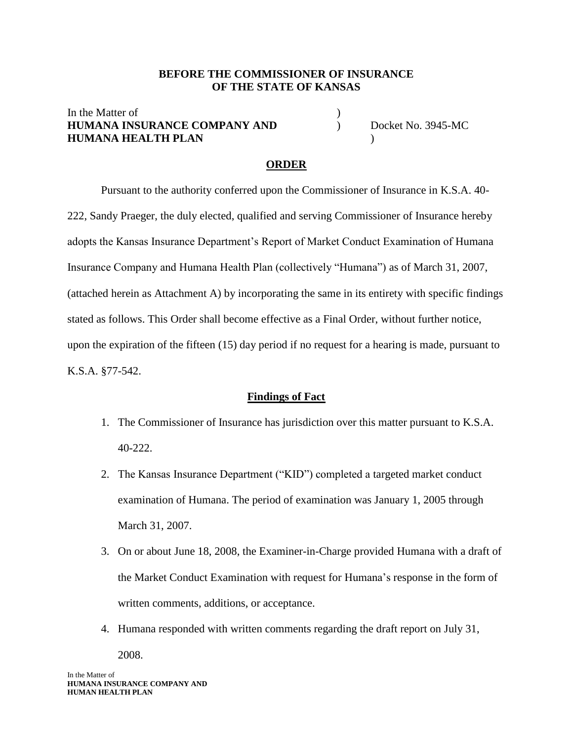#### **BEFORE THE COMMISSIONER OF INSURANCE OF THE STATE OF KANSAS**

## In the Matter of **HUMANA INSURANCE COMPANY AND** ) Docket No. 3945-MC **HUMANA HEALTH PLAN** )

#### **ORDER**

Pursuant to the authority conferred upon the Commissioner of Insurance in K.S.A. 40- 222, Sandy Praeger, the duly elected, qualified and serving Commissioner of Insurance hereby adopts the Kansas Insurance Department's Report of Market Conduct Examination of Humana Insurance Company and Humana Health Plan (collectively "Humana") as of March 31, 2007, (attached herein as Attachment A) by incorporating the same in its entirety with specific findings stated as follows. This Order shall become effective as a Final Order, without further notice, upon the expiration of the fifteen (15) day period if no request for a hearing is made, pursuant to K.S.A. §77-542.

#### **Findings of Fact**

- 1. The Commissioner of Insurance has jurisdiction over this matter pursuant to K.S.A. 40-222.
- 2. The Kansas Insurance Department ("KID") completed a targeted market conduct examination of Humana. The period of examination was January 1, 2005 through March 31, 2007.
- 3. On or about June 18, 2008, the Examiner-in-Charge provided Humana with a draft of the Market Conduct Examination with request for Humana's response in the form of written comments, additions, or acceptance.
- 4. Humana responded with written comments regarding the draft report on July 31, 2008.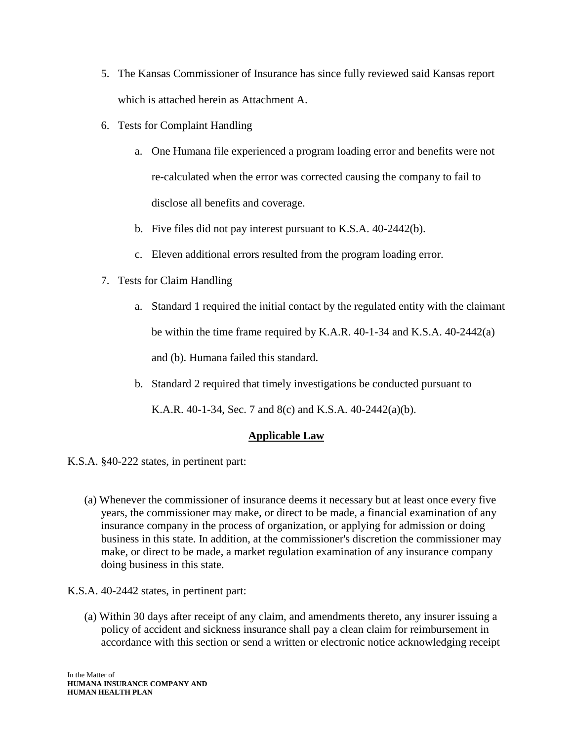- 5. The Kansas Commissioner of Insurance has since fully reviewed said Kansas report which is attached herein as Attachment A.
- 6. Tests for Complaint Handling
	- a. One Humana file experienced a program loading error and benefits were not re-calculated when the error was corrected causing the company to fail to disclose all benefits and coverage.
	- b. Five files did not pay interest pursuant to K.S.A. 40-2442(b).
	- c. Eleven additional errors resulted from the program loading error.
- 7. Tests for Claim Handling
	- a. Standard 1 required the initial contact by the regulated entity with the claimant be within the time frame required by K.A.R. 40-1-34 and K.S.A. 40-2442(a) and (b). Humana failed this standard.
	- b. Standard 2 required that timely investigations be conducted pursuant to

K.A.R. 40-1-34, Sec. 7 and 8(c) and K.S.A. 40-2442(a)(b).

# **Applicable Law**

K.S.A. §40-222 states, in pertinent part:

- (a) Whenever the commissioner of insurance deems it necessary but at least once every five years, the commissioner may make, or direct to be made, a financial examination of any insurance company in the process of organization, or applying for admission or doing business in this state. In addition, at the commissioner's discretion the commissioner may make, or direct to be made, a market regulation examination of any insurance company doing business in this state.
- K.S.A. 40-2442 states, in pertinent part:
	- (a) Within 30 days after receipt of any claim, and amendments thereto, any insurer issuing a policy of accident and sickness insurance shall pay a clean claim for reimbursement in accordance with this section or send a written or electronic notice acknowledging receipt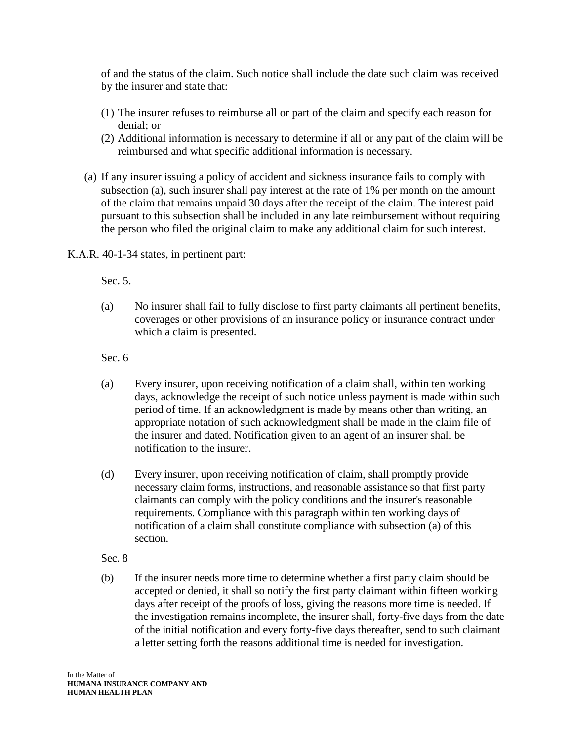of and the status of the claim. Such notice shall include the date such claim was received by the insurer and state that:

- (1) The insurer refuses to reimburse all or part of the claim and specify each reason for denial; or
- (2) Additional information is necessary to determine if all or any part of the claim will be reimbursed and what specific additional information is necessary.
- (a) If any insurer issuing a policy of accident and sickness insurance fails to comply with subsection (a), such insurer shall pay interest at the rate of 1% per month on the amount of the claim that remains unpaid 30 days after the receipt of the claim. The interest paid pursuant to this subsection shall be included in any late reimbursement without requiring the person who filed the original claim to make any additional claim for such interest.

K.A.R. 40-1-34 states, in pertinent part:

Sec. 5.

(a) No insurer shall fail to fully disclose to first party claimants all pertinent benefits, coverages or other provisions of an insurance policy or insurance contract under which a claim is presented.

Sec. 6

- (a) Every insurer, upon receiving notification of a claim shall, within ten working days, acknowledge the receipt of such notice unless payment is made within such period of time. If an acknowledgment is made by means other than writing, an appropriate notation of such acknowledgment shall be made in the claim file of the insurer and dated. Notification given to an agent of an insurer shall be notification to the insurer.
- (d) Every insurer, upon receiving notification of claim, shall promptly provide necessary claim forms, instructions, and reasonable assistance so that first party claimants can comply with the policy conditions and the insurer's reasonable requirements. Compliance with this paragraph within ten working days of notification of a claim shall constitute compliance with subsection (a) of this section.
- Sec. 8
- (b) If the insurer needs more time to determine whether a first party claim should be accepted or denied, it shall so notify the first party claimant within fifteen working days after receipt of the proofs of loss, giving the reasons more time is needed. If the investigation remains incomplete, the insurer shall, forty-five days from the date of the initial notification and every forty-five days thereafter, send to such claimant a letter setting forth the reasons additional time is needed for investigation.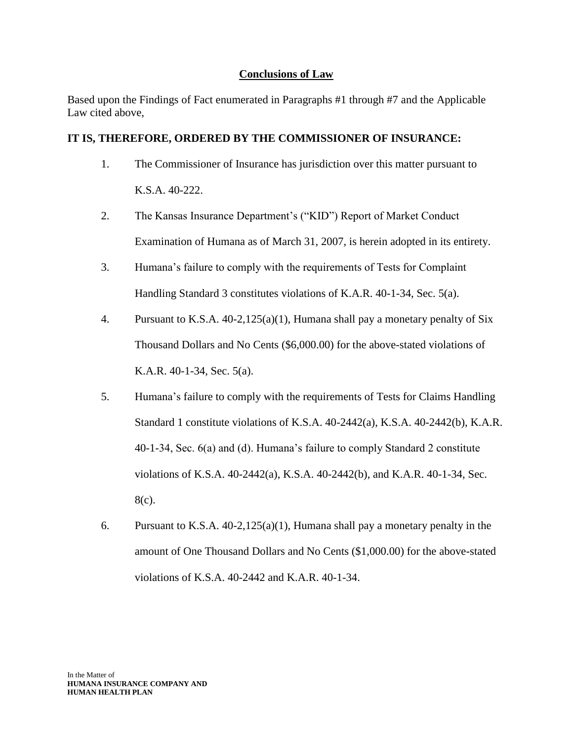# **Conclusions of Law**

Based upon the Findings of Fact enumerated in Paragraphs #1 through #7 and the Applicable Law cited above,

# **IT IS, THEREFORE, ORDERED BY THE COMMISSIONER OF INSURANCE:**

- 1. The Commissioner of Insurance has jurisdiction over this matter pursuant to K.S.A. 40-222.
- 2. The Kansas Insurance Department's ("KID") Report of Market Conduct Examination of Humana as of March 31, 2007, is herein adopted in its entirety.
- 3. Humana's failure to comply with the requirements of Tests for Complaint Handling Standard 3 constitutes violations of K.A.R. 40-1-34, Sec. 5(a).
- 4. Pursuant to K.S.A. 40-2,125(a)(1), Humana shall pay a monetary penalty of Six Thousand Dollars and No Cents (\$6,000.00) for the above-stated violations of K.A.R. 40-1-34, Sec. 5(a).
- 5. Humana's failure to comply with the requirements of Tests for Claims Handling Standard 1 constitute violations of K.S.A. 40-2442(a), K.S.A. 40-2442(b), K.A.R. 40-1-34, Sec. 6(a) and (d). Humana's failure to comply Standard 2 constitute violations of K.S.A. 40-2442(a), K.S.A. 40-2442(b), and K.A.R. 40-1-34, Sec. 8(c).
- 6. Pursuant to K.S.A. 40-2,125(a)(1), Humana shall pay a monetary penalty in the amount of One Thousand Dollars and No Cents (\$1,000.00) for the above-stated violations of K.S.A. 40-2442 and K.A.R. 40-1-34.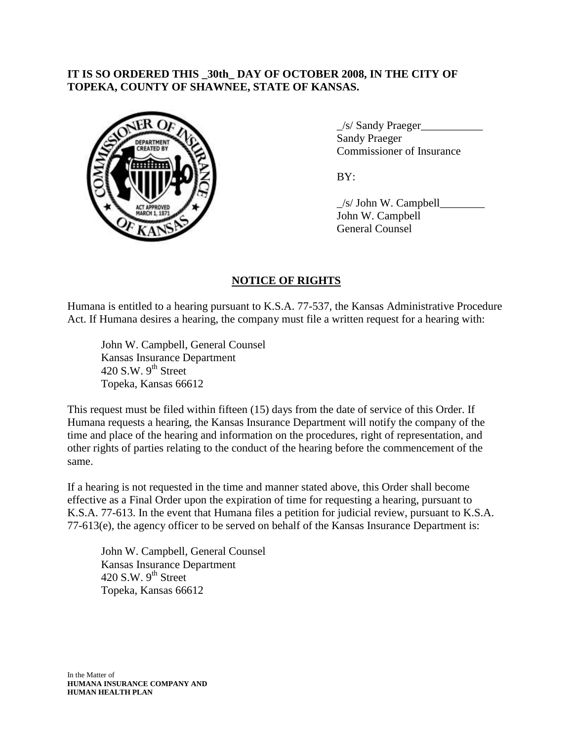# **IT IS SO ORDERED THIS \_30th\_ DAY OF OCTOBER 2008, IN THE CITY OF TOPEKA, COUNTY OF SHAWNEE, STATE OF KANSAS.**



\_/s/ Sandy Praeger\_\_\_\_\_\_\_\_\_\_\_ Sandy Praeger Commissioner of Insurance

BY:

 $\angle$ s/ John W. Campbell John W. Campbell General Counsel

# **NOTICE OF RIGHTS**

Humana is entitled to a hearing pursuant to K.S.A. 77-537, the Kansas Administrative Procedure Act. If Humana desires a hearing, the company must file a written request for a hearing with:

John W. Campbell, General Counsel Kansas Insurance Department 420 S.W.  $9<sup>th</sup>$  Street Topeka, Kansas 66612

This request must be filed within fifteen (15) days from the date of service of this Order. If Humana requests a hearing, the Kansas Insurance Department will notify the company of the time and place of the hearing and information on the procedures, right of representation, and other rights of parties relating to the conduct of the hearing before the commencement of the same.

If a hearing is not requested in the time and manner stated above, this Order shall become effective as a Final Order upon the expiration of time for requesting a hearing, pursuant to K.S.A. 77-613. In the event that Humana files a petition for judicial review, pursuant to K.S.A. 77-613(e), the agency officer to be served on behalf of the Kansas Insurance Department is:

John W. Campbell, General Counsel Kansas Insurance Department 420 S.W.  $9<sup>th</sup>$  Street Topeka, Kansas 66612